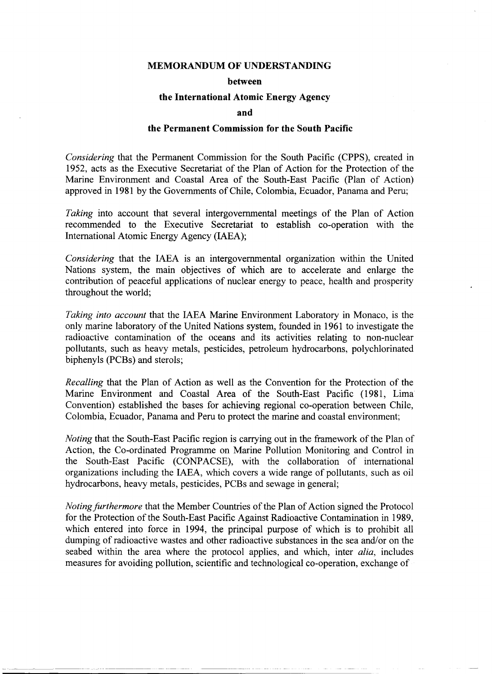#### **MEMORANDUM OF UNDERSTANDING**

#### **between**

#### **the International Atomie Energy Ageney**

#### **and**

#### **the Permanent Commission for the South Paeifie**

*Considering* that the Permanent Commission for the South Pacific (CPPS), created in 1952, acts as the Executive Secretariat of the Plan of Action for the Protection of the Marine Environment and Coastal Area of the South-East Pacific (Plan of Action) approved in 1981 by the Governments of Chile, Colombia, Ecuador, Panama and Peru;

*Taking* into account that several intergovernmental meetings of the Plan of Action recommended to the Executive Secretariat to establish co-operation with the Intemational Atomic Energy Agency (IAEA);

*Considering* that the IAEA is an intergovernmental organization within the United Nations system, the main objectives of which are to accelerate and enlarge the contribution of peaceful applications of nuclear energy to peace, hea1th and prosperity throughout the world;

*Taking into account* that the IAEA Marine Environment Laboratory in Monaco, is the only marine laboratory of the United Nations system, founded in 1961 to investigate the radioactive contamination of the oceans and its activities relating to non-nuclear pollutants, such as heavy metals, pesticides, petroleum hydrocarbons, polychlorinated biphenyls (PCBs) and sterols;

*Recalling* that the Plan of Action as well as the Convention for the Protection of the Marine Environment and Coastal Area of the South-East Pacific (1981, Lima Convention) established the bases for achieving regional co-operation between Chile, Colombia, Ecuador, Panama and Peru to protect the marine and coastal environment;

*Noting* that the South-East Pacific region is carrying out in the framework of the Plan of Action, the Co-ordinated Programme on Marine Pollution Monitoring and Control in the South-East Pacific (CONPACSE), with the collaboration of intemational organizations including the IAEA, which covers a wide range of pollutants, such as oil hydrocarbons, heavy metals, pesticides, PCBs and sewage in general;

*Noting jurthermore* that the Member Countries of the Plan of Action signed the Protocol for the Protection of the South-East Pacific Against Radioactive Contamination in 1989, which entered into force in 1994, the principal purpose of which is to prohibit all dumping of radioactive wastes and other radioactive substances in the sea and/or on the seabed within the area where the protocol applies, and which, inter *alia*, includes measures for avoiding pollution, scientific and technological co-operation, exchange of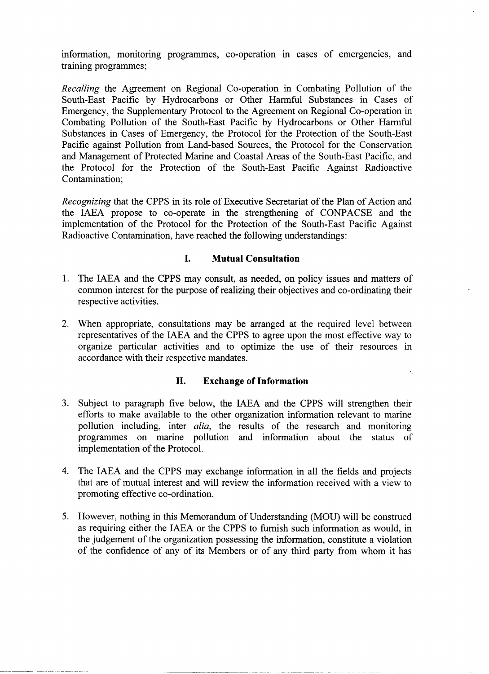information, monitoring programmes, co-operation in cases of emergencies, and training programmes;

*Recalling* the Agreement on Regional Co-operation in Combating Pollution of the South-East Pacific by Hydrocarbons or Other Harmful Substances in Cases of Emergency, the Supplementary Protocol to the Agreement on Regional Co-operation in Combating Pollution of the South-East Pacific by Hydrocarbons or Other Harmful Substances in Cases of Emergency, the Protocol for the Protection of the South-East Pacific against Pollution from Land-based Sources, the Protocol for the Conservation and Management of Protected Marine and Coastal Areas of the South-East Pacific, and the Protocol for the Protection of the South-East Pacific Against Radioactive Contamination;

*Recognizing* that the CPPS in its role of Executive Secretariat of the Plan of Action and the IAEA propose to co-operate in the strengthening of CONPACSE and the implementation of the Protocol for the Protection of the South-East Pacific Against Radioactive Contamination, have reached the following understandings:

# **l. Mutual Consultation**

- 1. The IAEA and the CPPS may consult, as needed, on policy issues and matters of common interest for the purpose of realizing their objectives and co-ordinating their respective activities.
- 2. When appropriate, consultations may be arranged at the required level between representatives of the IAEA and the CPPS to agree upon the most effective way to organize particular activities and to optimize the use of their resources in accordance with their respective mandates.

# **11. Exchange of Information**

- 3. Subject to paragraph five below, the IAEA and the CPPS will strengthen their efforts to make available to the other organization information relevant to marine pollution including, inter *alía,* the results of the research and monitoring programmes on marine pollution and information about the status of implementation of the Protocol.
- 4. The IAEA and the CPPS may exchange information in all the fields and projects that are of mutual interest and will review the information received with a view to promoting effective co-ordination.
- 5. However, nothing in this Memorandum of Understanding (MOU) will be construed as requiring either the IAEA or the CPPS to fumish such information as would, in the judgement of the organization possessing the information, constitute a violation of the confidence of any of its Members or of any third party from whom it has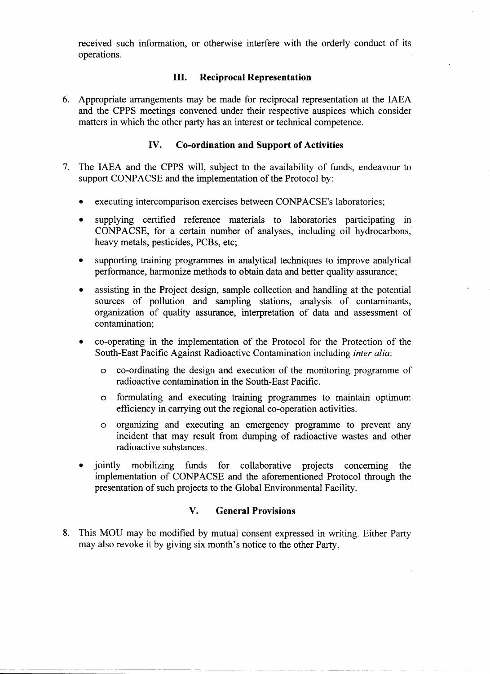received such information, or otherwise interfere with the orderly conduct of its operations.

### **III. Reciprocal Representation**

6. Appropriate arrangements may be made for reciprocal representation at the IAEA and the CPPS meetings convened under their respective auspices which consider matters in which the other party has an interest or technical competence.

### **IV. Co-ordination and Support of Activities**

- 7. The IAEA and the CPPS will, subject to the availability of funds, endeavour to support CONPACSE and the implementation of the Protocol by:
	- executing intercomparison exercises between CONPACSE's laboratories;
	- supplying certified reference materials to laboratories participating in CONPACSE, for a certain number of analyses, including oil hydrocarbons, heavy metals, pesticides, PCBs, etc;
	- supporting training programmes in analytical techniques to improve analytical performance, harmonize methods to obtain data and better quality assurance;
	- assisting in the Project design, sample collection and handling at the potential sources of pollution and sampling stations, analysis of contaminants, organization of quality assurance, interpretation of data and assessment of contamination;
	- co-operating in the implementation of the Protocol for the Protection of the South-East Pacific Against Radioactive Contamination including *inter alia:*
		- o co-ordinating the design and execution of the monitoring programme of radioactive contamination in the South-East Pacific.
		- o formulating and executing training programmes to maintain optimum efficiency in carrying out the regional co-operation activities.
		- o organizing and executing an emergency prograrnme to prevent any incident that may result from dumping of radioactive wastes and other radioactive substances.
	- jointly mobilizing funds for collaborative projects conceming the implementation of CONPACSE and the aforementioned Protocol through the presentation of such projects to the Global Environmental Facility.

# **V. General Provisions**

8. This MOU may be modified by mutual consent expressed in writing. Either Party may also revoke it by giving six month's notice to the other Party.